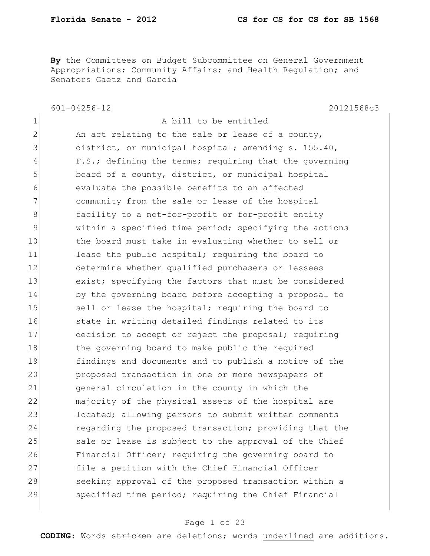**By** the Committees on Budget Subcommittee on General Government Appropriations; Community Affairs; and Health Regulation; and Senators Gaetz and Garcia

601-04256-12 20121568c3

1 a bill to be entitled  $2$  An act relating to the sale or lease of a county, 3 district, or municipal hospital; amending s. 155.40, 4 F.S.; defining the terms; requiring that the governing 5 board of a county, district, or municipal hospital 6 evaluate the possible benefits to an affected 7 community from the sale or lease of the hospital 8 **facility** to a not-for-profit or for-profit entity 9 within a specified time period; specifying the actions 10 the board must take in evaluating whether to sell or 11 lease the public hospital; requiring the board to 12 determine whether qualified purchasers or lessees 13 exist; specifying the factors that must be considered 14 by the governing board before accepting a proposal to 15 Sell or lease the hospital; requiring the board to 16 state in writing detailed findings related to its 17 decision to accept or reject the proposal; requiring 18 the governing board to make public the required 19 findings and documents and to publish a notice of the 20 proposed transaction in one or more newspapers of 21 general circulation in the county in which the 22 majority of the physical assets of the hospital are 23 located; allowing persons to submit written comments 24 regarding the proposed transaction; providing that the 25 sale or lease is subject to the approval of the Chief 26 Financial Officer; requiring the governing board to 27 file a petition with the Chief Financial Officer 28 Seeking approval of the proposed transaction within a 29 Specified time period; requiring the Chief Financial

#### Page 1 of 23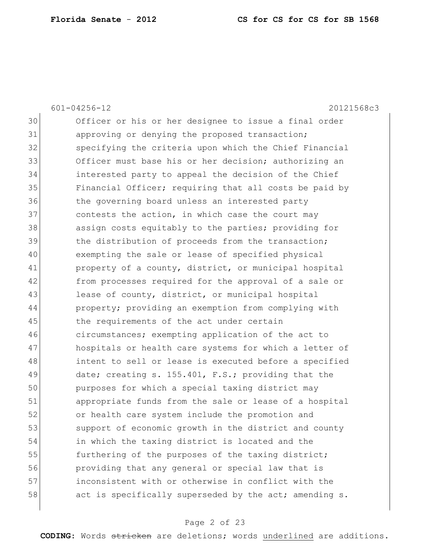601-04256-12 20121568c3 30 Officer or his or her designee to issue a final order 31 approving or denying the proposed transaction; 32 Specifying the criteria upon which the Chief Financial 33 Officer must base his or her decision; authorizing an 34 interested party to appeal the decision of the Chief 35 Financial Officer; requiring that all costs be paid by 36 the governing board unless an interested party 37 contests the action, in which case the court may 38 assign costs equitably to the parties; providing for 39 the distribution of proceeds from the transaction; 40 exempting the sale or lease of specified physical 41 property of a county, district, or municipal hospital 42 from processes required for the approval of a sale or 43 lease of county, district, or municipal hospital 44 property; providing an exemption from complying with 45 the requirements of the act under certain 46 circumstances; exempting application of the act to 47 hospitals or health care systems for which a letter of 48 intent to sell or lease is executed before a specified 49 date; creating s. 155.401, F.S.; providing that the 50 purposes for which a special taxing district may 51 appropriate funds from the sale or lease of a hospital 52 or health care system include the promotion and 53 support of economic growth in the district and county 54 in which the taxing district is located and the 55 **furthering of the purposes of the taxing district;** 56 providing that any general or special law that is 57 inconsistent with or otherwise in conflict with the  $58$  act is specifically superseded by the act; amending s.

#### Page 2 of 23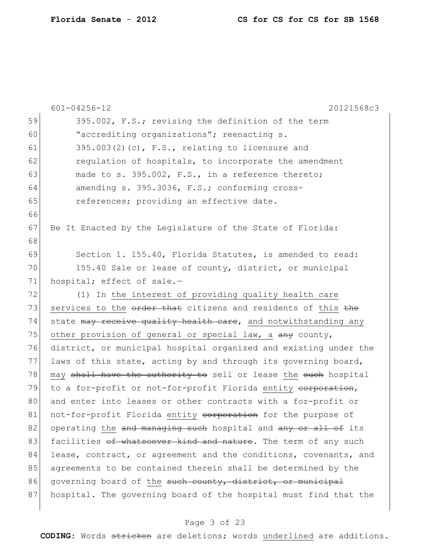|    | $601 - 04256 - 12$<br>20121568c3                                 |
|----|------------------------------------------------------------------|
| 59 | 395.002, F.S.; revising the definition of the term               |
| 60 | "accrediting organizations"; reenacting s.                       |
| 61 | $395.003(2)$ (c), F.S., relating to licensure and                |
| 62 | regulation of hospitals, to incorporate the amendment            |
| 63 | made to s. 395.002, F.S., in a reference thereto;                |
| 64 | amending s. 395.3036, F.S.; conforming cross-                    |
| 65 | references; providing an effective date.                         |
| 66 |                                                                  |
| 67 | Be It Enacted by the Legislature of the State of Florida:        |
| 68 |                                                                  |
| 69 | Section 1. 155.40, Florida Statutes, is amended to read:         |
| 70 | 155.40 Sale or lease of county, district, or municipal           |
| 71 | hospital; effect of sale.-                                       |
| 72 | (1) In the interest of providing quality health care             |
| 73 | services to the order that citizens and residents of this the    |
| 74 | state may receive quality health care, and notwithstanding any   |
| 75 | other provision of general or special law, a any county,         |
| 76 | district, or municipal hospital organized and existing under the |
| 77 | laws of this state, acting by and through its governing board,   |
| 78 | may shall have the authority to sell or lease the such hospital  |
| 79 | to a for-profit or not-for-profit Florida entity corporation,    |
| 80 | and enter into leases or other contracts with a for-profit or    |
| 81 | not-for-profit Florida entity corporation for the purpose of     |
| 82 | operating the and managing such hospital and any or all of its   |
| 83 | facilities of whatsoever kind and nature. The term of any such   |
| 84 | lease, contract, or agreement and the conditions, covenants, and |
| 85 | agreements to be contained therein shall be determined by the    |
| 86 | governing board of the such county, district, or municipal       |
| 87 | hospital. The governing board of the hospital must find that the |
|    |                                                                  |

# Page 3 of 23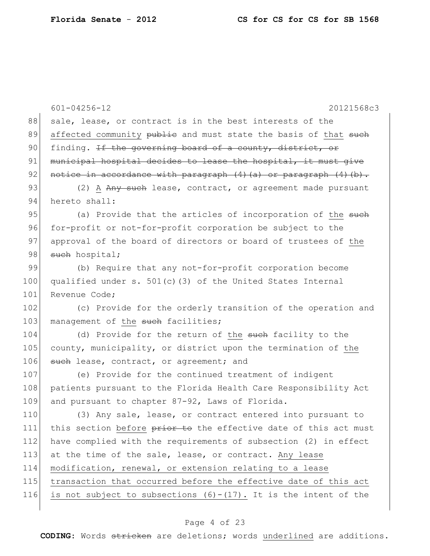601-04256-12 20121568c3 88 sale, lease, or contract is in the best interests of the 89 affected community publie and must state the basis of that such 90 finding. If the governing board of a county, district, or 91 municipal hospital decides to lease the hospital, it must give 92 notice in accordance with paragraph  $(4)$   $(a)$  or paragraph  $(4)$   $(b)$ . 93 (2) A Any such lease, contract, or agreement made pursuant 94 hereto shall: 95 (a) Provide that the articles of incorporation of the such 96 for-profit or not-for-profit corporation be subject to the 97 approval of the board of directors or board of trustees of the 98 such hospital; 99 (b) Require that any not-for-profit corporation become 100 qualified under s.  $501(c)$  (3) of the United States Internal 101 Revenue Code; 102 (c) Provide for the orderly transition of the operation and 103 management of the such facilities; 104 (d) Provide for the return of the such facility to the 105 county, municipality, or district upon the termination of the 106 such lease, contract, or agreement; and 107 (e) Provide for the continued treatment of indigent 108 patients pursuant to the Florida Health Care Responsibility Act 109 and pursuant to chapter 87-92, Laws of Florida. 110 (3) Any sale, lease, or contract entered into pursuant to 111 this section before prior to the effective date of this act must 112 have complied with the requirements of subsection (2) in effect 113 at the time of the sale, lease, or contract. Any lease 114 modification, renewal, or extension relating to a lease 115 | transaction that occurred before the effective date of this act 116 is not subject to subsections  $(6)-(17)$ . It is the intent of the

#### Page 4 of 23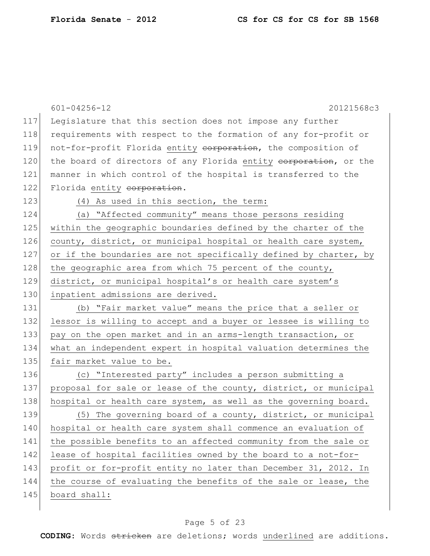|     | $601 - 04256 - 12$<br>20121568c3                                 |
|-----|------------------------------------------------------------------|
| 117 | Legislature that this section does not impose any further        |
| 118 | requirements with respect to the formation of any for-profit or  |
| 119 | not-for-profit Florida entity corporation, the composition of    |
| 120 | the board of directors of any Florida entity corporation, or the |
| 121 | manner in which control of the hospital is transferred to the    |
| 122 | Florida entity corporation.                                      |
| 123 | (4) As used in this section, the term:                           |
| 124 | (a) "Affected community" means those persons residing            |
| 125 | within the geographic boundaries defined by the charter of the   |
| 126 | county, district, or municipal hospital or health care system,   |
| 127 | or if the boundaries are not specifically defined by charter, by |
| 128 | the geographic area from which 75 percent of the county,         |
| 129 | district, or municipal hospital's or health care system's        |
| 130 | inpatient admissions are derived.                                |
| 131 | (b) "Fair market value" means the price that a seller or         |
| 132 | lessor is willing to accept and a buyer or lessee is willing to  |
| 133 | pay on the open market and in an arms-length transaction, or     |
| 134 | what an independent expert in hospital valuation determines the  |
| 135 | fair market value to be.                                         |
| 136 | (c) "Interested party" includes a person submitting a            |
| 137 | proposal for sale or lease of the county, district, or municipal |
| 138 | hospital or health care system, as well as the governing board.  |
| 139 | (5) The governing board of a county, district, or municipal      |
| 140 | hospital or health care system shall commence an evaluation of   |
| 141 | the possible benefits to an affected community from the sale or  |
| 142 | lease of hospital facilities owned by the board to a not-for-    |
| 143 | profit or for-profit entity no later than December 31, 2012. In  |
| 144 | the course of evaluating the benefits of the sale or lease, the  |
| 145 | board shall:                                                     |
|     |                                                                  |

# Page 5 of 23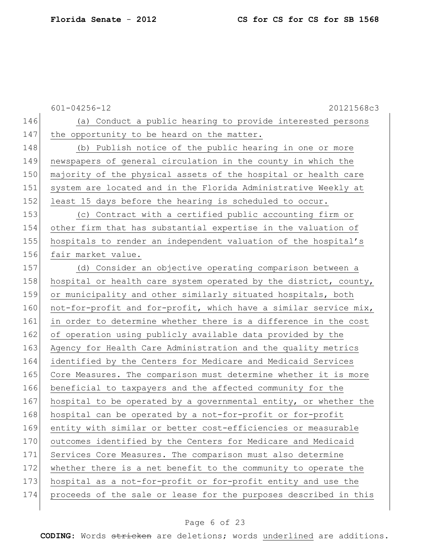|     | 601-04256-12<br>20121568c3                                       |
|-----|------------------------------------------------------------------|
| 146 | (a) Conduct a public hearing to provide interested persons       |
| 147 | the opportunity to be heard on the matter.                       |
| 148 | (b) Publish notice of the public hearing in one or more          |
| 149 | newspapers of general circulation in the county in which the     |
| 150 | majority of the physical assets of the hospital or health care   |
| 151 | system are located and in the Florida Administrative Weekly at   |
| 152 | least 15 days before the hearing is scheduled to occur.          |
| 153 | (c) Contract with a certified public accounting firm or          |
| 154 | other firm that has substantial expertise in the valuation of    |
| 155 | hospitals to render an independent valuation of the hospital's   |
| 156 | fair market value.                                               |
| 157 | (d) Consider an objective operating comparison between a         |
| 158 | hospital or health care system operated by the district, county, |
| 159 | or municipality and other similarly situated hospitals, both     |
| 160 | not-for-profit and for-profit, which have a similar service mix, |
| 161 | in order to determine whether there is a difference in the cost  |
| 162 | of operation using publicly available data provided by the       |
| 163 | Agency for Health Care Administration and the quality metrics    |
| 164 | identified by the Centers for Medicare and Medicaid Services     |
| 165 | Core Measures. The comparison must determine whether it is more  |
| 166 | beneficial to taxpayers and the affected community for the       |
| 167 | hospital to be operated by a governmental entity, or whether the |
| 168 | hospital can be operated by a not-for-profit or for-profit       |
| 169 | entity with similar or better cost-efficiencies or measurable    |
| 170 | outcomes identified by the Centers for Medicare and Medicaid     |
| 171 | Services Core Measures. The comparison must also determine       |
| 172 | whether there is a net benefit to the community to operate the   |
| 173 | hospital as a not-for-profit or for-profit entity and use the    |
| 174 | proceeds of the sale or lease for the purposes described in this |
|     |                                                                  |

# Page 6 of 23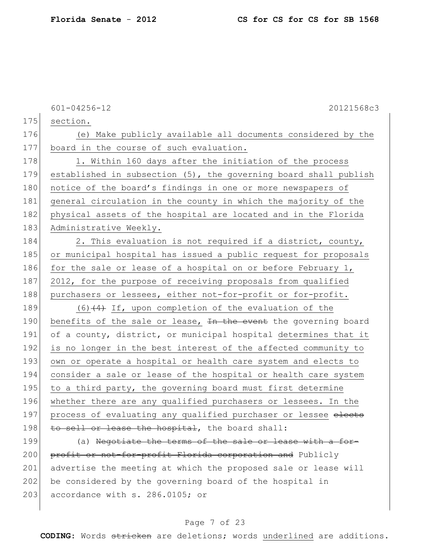601-04256-12 20121568c3 175 section. 176 (e) Make publicly available all documents considered by the 177 board in the course of such evaluation. 178 1. Within 160 days after the initiation of the process 179 established in subsection (5), the governing board shall publish 180 notice of the board's findings in one or more newspapers of 181 general circulation in the county in which the majority of the 182 physical assets of the hospital are located and in the Florida 183 Administrative Weekly. 184 2. This evaluation is not required if a district, county, 185 or municipal hospital has issued a public request for proposals 186 for the sale or lease of a hospital on or before February 1, 187 2012, for the purpose of receiving proposals from qualified 188 purchasers or lessees, either not-for-profit or for-profit. 189  $(6)$   $(4)$  If, upon completion of the evaluation of the 190 benefits of the sale or lease,  $\frac{1}{10}$  the event the governing board 191 of a county, district, or municipal hospital determines that it 192 is no longer in the best interest of the affected community to 193 own or operate a hospital or health care system and elects to 194 consider a sale or lease of the hospital or health care system 195 to a third party, the governing board must first determine 196 whether there are any qualified purchasers or lessees. In the 197 process of evaluating any qualified purchaser or lessee elects 198 to sell or lease the hospital, the board shall: 199 (a) Negotiate the terms of the sale or lease with a for-200 profit or not-for-profit Florida corporation and Publicly 201 advertise the meeting at which the proposed sale or lease will

202 be considered by the governing board of the hospital in  $203$  accordance with s. 286.0105; or

#### Page 7 of 23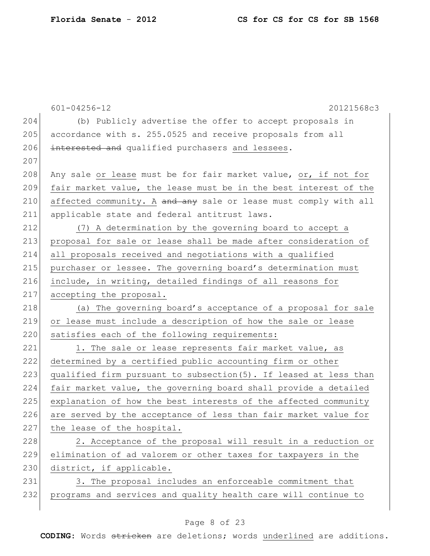|     | $601 - 04256 - 12$<br>20121568c3                                  |
|-----|-------------------------------------------------------------------|
| 204 | (b) Publicly advertise the offer to accept proposals in           |
| 205 | accordance with s. 255.0525 and receive proposals from all        |
| 206 | interested and qualified purchasers and lessees.                  |
| 207 |                                                                   |
| 208 | Any sale or lease must be for fair market value, or, if not for   |
| 209 | fair market value, the lease must be in the best interest of the  |
| 210 | affected community. A and any sale or lease must comply with all  |
| 211 | applicable state and federal antitrust laws.                      |
| 212 | (7) A determination by the governing board to accept a            |
| 213 | proposal for sale or lease shall be made after consideration of   |
| 214 | all proposals received and negotiations with a qualified          |
| 215 | purchaser or lessee. The governing board's determination must     |
| 216 | include, in writing, detailed findings of all reasons for         |
| 217 | accepting the proposal.                                           |
| 218 | (a) The governing board's acceptance of a proposal for sale       |
| 219 | or lease must include a description of how the sale or lease      |
| 220 | satisfies each of the following requirements:                     |
| 221 | 1. The sale or lease represents fair market value, as             |
| 222 | determined by a certified public accounting firm or other         |
| 223 | qualified firm pursuant to subsection (5). If leased at less than |
| 224 | fair market value, the governing board shall provide a detailed   |
| 225 | explanation of how the best interests of the affected community   |
| 226 | are served by the acceptance of less than fair market value for   |
| 227 | the lease of the hospital.                                        |
| 228 | 2. Acceptance of the proposal will result in a reduction or       |
| 229 | elimination of ad valorem or other taxes for taxpayers in the     |
| 230 | district, if applicable.                                          |
| 231 | 3. The proposal includes an enforceable commitment that           |
| 232 | programs and services and quality health care will continue to    |
|     |                                                                   |

# Page 8 of 23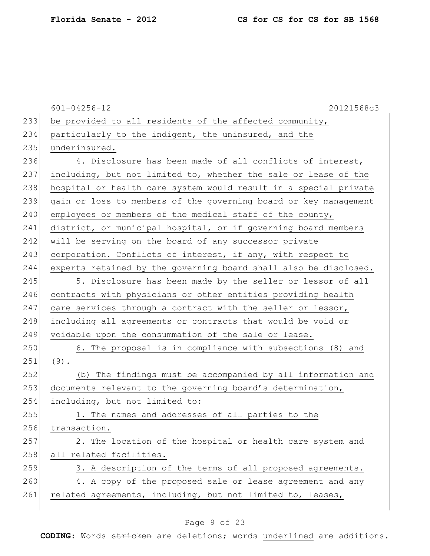|     | $601 - 04256 - 12$<br>20121568c3                                 |
|-----|------------------------------------------------------------------|
| 233 | be provided to all residents of the affected community,          |
| 234 | particularly to the indigent, the uninsured, and the             |
| 235 | underinsured.                                                    |
| 236 | 4. Disclosure has been made of all conflicts of interest,        |
| 237 | including, but not limited to, whether the sale or lease of the  |
| 238 | hospital or health care system would result in a special private |
| 239 | gain or loss to members of the governing board or key management |
| 240 | employees or members of the medical staff of the county,         |
| 241 | district, or municipal hospital, or if governing board members   |
| 242 | will be serving on the board of any successor private            |
| 243 | corporation. Conflicts of interest, if any, with respect to      |
| 244 | experts retained by the governing board shall also be disclosed. |
| 245 | 5. Disclosure has been made by the seller or lessor of all       |
| 246 | contracts with physicians or other entities providing health     |
| 247 | care services through a contract with the seller or lessor,      |
| 248 | including all agreements or contracts that would be void or      |
| 249 | voidable upon the consummation of the sale or lease.             |
| 250 | 6. The proposal is in compliance with subsections (8) and        |
| 251 | $(9)$ .                                                          |
| 252 | (b) The findings must be accompanied by all information and      |
| 253 | documents relevant to the governing board's determination,       |
| 254 | including, but not limited to:                                   |
| 255 | 1. The names and addresses of all parties to the                 |
| 256 | transaction.                                                     |
| 257 | 2. The location of the hospital or health care system and        |
| 258 | all related facilities.                                          |
| 259 | 3. A description of the terms of all proposed agreements.        |
| 260 | 4. A copy of the proposed sale or lease agreement and any        |
| 261 | related agreements, including, but not limited to, leases,       |
|     |                                                                  |

# Page 9 of 23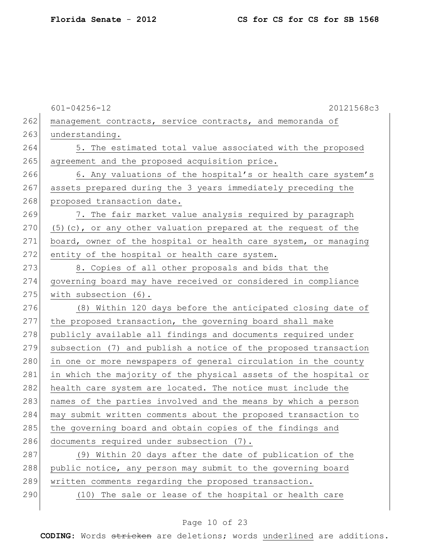|     | $601 - 04256 - 12$<br>20121568c3                                 |
|-----|------------------------------------------------------------------|
| 262 | management contracts, service contracts, and memoranda of        |
| 263 | understanding.                                                   |
| 264 | 5. The estimated total value associated with the proposed        |
| 265 | agreement and the proposed acquisition price.                    |
| 266 | 6. Any valuations of the hospital's or health care system's      |
| 267 | assets prepared during the 3 years immediately preceding the     |
| 268 | proposed transaction date.                                       |
| 269 | 7. The fair market value analysis required by paragraph          |
| 270 | $(5)$ (c), or any other valuation prepared at the request of the |
| 271 | board, owner of the hospital or health care system, or managing  |
| 272 | entity of the hospital or health care system.                    |
| 273 | 8. Copies of all other proposals and bids that the               |
| 274 | governing board may have received or considered in compliance    |
| 275 | with subsection (6).                                             |
| 276 | (8) Within 120 days before the anticipated closing date of       |
| 277 | the proposed transaction, the governing board shall make         |
| 278 | publicly available all findings and documents required under     |
| 279 | subsection (7) and publish a notice of the proposed transaction  |
| 280 | in one or more newspapers of general circulation in the county   |
| 281 | in which the majority of the physical assets of the hospital or  |
| 282 | health care system are located. The notice must include the      |
| 283 | names of the parties involved and the means by which a person    |
| 284 | may submit written comments about the proposed transaction to    |
| 285 | the governing board and obtain copies of the findings and        |
| 286 | documents required under subsection (7).                         |
| 287 | (9) Within 20 days after the date of publication of the          |
| 288 | public notice, any person may submit to the governing board      |
| 289 | written comments regarding the proposed transaction.             |
| 290 | (10) The sale or lease of the hospital or health care            |
|     |                                                                  |

# Page 10 of 23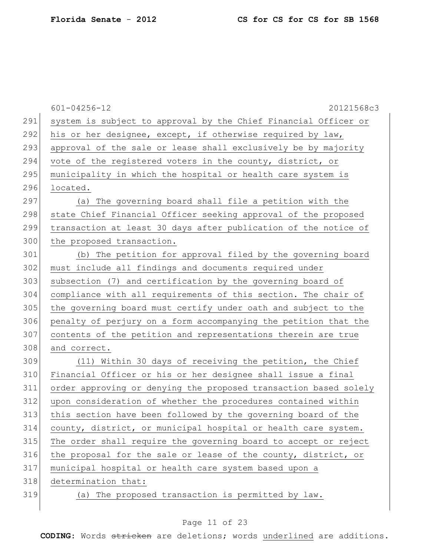|     | $601 - 04256 - 12$<br>20121568c3                                 |
|-----|------------------------------------------------------------------|
| 291 | system is subject to approval by the Chief Financial Officer or  |
| 292 | his or her designee, except, if otherwise required by law,       |
| 293 | approval of the sale or lease shall exclusively be by majority   |
| 294 | vote of the registered voters in the county, district, or        |
| 295 | municipality in which the hospital or health care system is      |
| 296 | located.                                                         |
| 297 | The governing board shall file a petition with the<br>(a)        |
| 298 | state Chief Financial Officer seeking approval of the proposed   |
| 299 | transaction at least 30 days after publication of the notice of  |
| 300 | the proposed transaction.                                        |
| 301 | (b) The petition for approval filed by the governing board       |
| 302 | must include all findings and documents required under           |
| 303 | subsection (7) and certification by the governing board of       |
| 304 | compliance with all requirements of this section. The chair of   |
| 305 | the governing board must certify under oath and subject to the   |
| 306 | penalty of perjury on a form accompanying the petition that the  |
| 307 | contents of the petition and representations therein are true    |
| 308 | and correct.                                                     |
| 309 | (11) Within 30 days of receiving the petition, the Chief         |
| 310 | Financial Officer or his or her designee shall issue a final     |
| 311 | order approving or denying the proposed transaction based solely |
| 312 | upon consideration of whether the procedures contained within    |
| 313 | this section have been followed by the governing board of the    |
| 314 | county, district, or municipal hospital or health care system.   |
| 315 | The order shall require the governing board to accept or reject  |
| 316 | the proposal for the sale or lease of the county, district, or   |
| 317 | municipal hospital or health care system based upon a            |
| 318 | determination that:                                              |
| 319 | (a) The proposed transaction is permitted by law.                |
|     |                                                                  |

# Page 11 of 23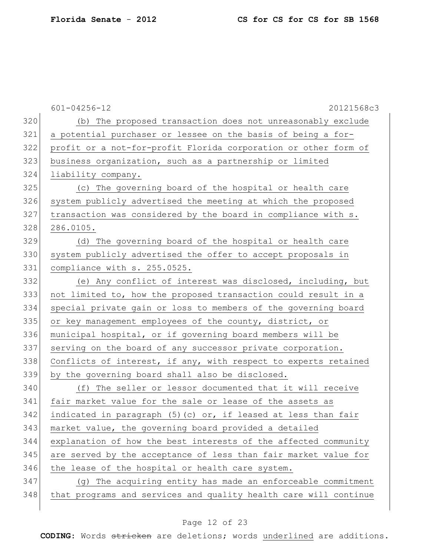|     | $601 - 04256 - 12$<br>20121568c3                                 |
|-----|------------------------------------------------------------------|
| 320 | (b) The proposed transaction does not unreasonably exclude       |
| 321 | a potential purchaser or lessee on the basis of being a for-     |
| 322 | profit or a not-for-profit Florida corporation or other form of  |
| 323 | business organization, such as a partnership or limited          |
| 324 | liability company.                                               |
| 325 | (c) The governing board of the hospital or health care           |
| 326 | system publicly advertised the meeting at which the proposed     |
| 327 | transaction was considered by the board in compliance with s.    |
| 328 | 286.0105.                                                        |
| 329 | (d) The governing board of the hospital or health care           |
| 330 | system publicly advertised the offer to accept proposals in      |
| 331 | compliance with s. 255.0525.                                     |
| 332 | (e) Any conflict of interest was disclosed, including, but       |
| 333 | not limited to, how the proposed transaction could result in a   |
| 334 | special private gain or loss to members of the governing board   |
| 335 | or key management employees of the county, district, or          |
| 336 | municipal hospital, or if governing board members will be        |
| 337 | serving on the board of any successor private corporation.       |
| 338 | Conflicts of interest, if any, with respect to experts retained  |
| 339 | by the governing board shall also be disclosed.                  |
| 340 | (f) The seller or lessor documented that it will receive         |
| 341 | fair market value for the sale or lease of the assets as         |
| 342 | indicated in paragraph (5) (c) or, if leased at less than fair   |
| 343 | market value, the governing board provided a detailed            |
| 344 | explanation of how the best interests of the affected community  |
| 345 | are served by the acceptance of less than fair market value for  |
| 346 | the lease of the hospital or health care system.                 |
| 347 | (g) The acquiring entity has made an enforceable commitment      |
| 348 | that programs and services and quality health care will continue |
|     |                                                                  |

# Page 12 of 23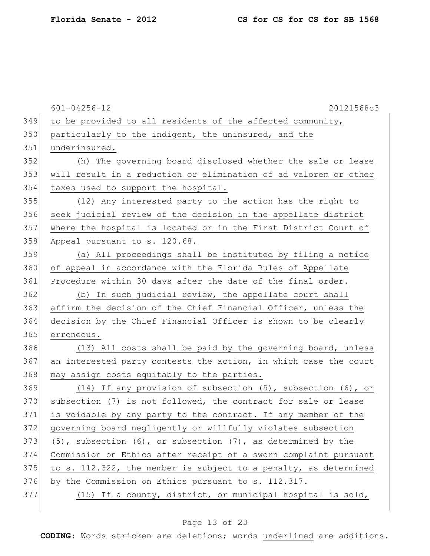|     | 20121568c3                                                            |
|-----|-----------------------------------------------------------------------|
| 349 | $601 - 04256 - 12$                                                    |
|     | to be provided to all residents of the affected community,            |
| 350 | particularly to the indigent, the uninsured, and the                  |
| 351 | underinsured.                                                         |
| 352 | (h) The governing board disclosed whether the sale or lease           |
| 353 | will result in a reduction or elimination of ad valorem or other      |
| 354 | taxes used to support the hospital.                                   |
| 355 | (12) Any interested party to the action has the right to              |
| 356 | seek judicial review of the decision in the appellate district        |
| 357 | where the hospital is located or in the First District Court of       |
| 358 | Appeal pursuant to s. 120.68.                                         |
| 359 | (a) All proceedings shall be instituted by filing a notice            |
| 360 | of appeal in accordance with the Florida Rules of Appellate           |
| 361 | Procedure within 30 days after the date of the final order.           |
| 362 | (b) In such judicial review, the appellate court shall                |
| 363 | affirm the decision of the Chief Financial Officer, unless the        |
| 364 | decision by the Chief Financial Officer is shown to be clearly        |
| 365 | erroneous.                                                            |
| 366 | (13) All costs shall be paid by the governing board, unless           |
| 367 | an interested party contests the action, in which case the court      |
| 368 | may assign costs equitably to the parties.                            |
| 369 | $(14)$ If any provision of subsection $(5)$ , subsection $(6)$ , or   |
| 370 | subsection (7) is not followed, the contract for sale or lease        |
| 371 | is voidable by any party to the contract. If any member of the        |
| 372 | governing board negligently or willfully violates subsection          |
| 373 | $(5)$ , subsection $(6)$ , or subsection $(7)$ , as determined by the |
| 374 | Commission on Ethics after receipt of a sworn complaint pursuant      |
| 375 | to s. 112.322, the member is subject to a penalty, as determined      |
| 376 | by the Commission on Ethics pursuant to s. 112.317.                   |
| 377 | (15) If a county, district, or municipal hospital is sold,            |
|     |                                                                       |

# Page 13 of 23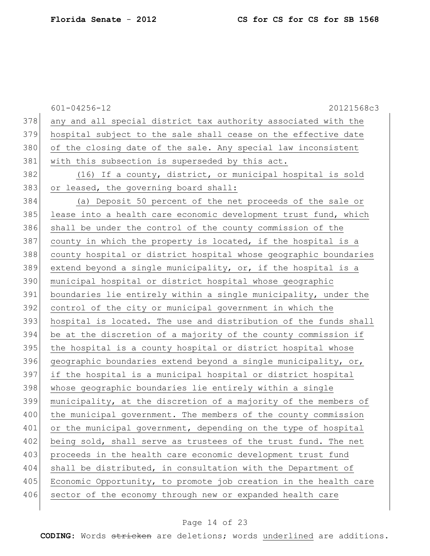|     | 20121568c3<br>$601 - 04256 - 12$                                 |
|-----|------------------------------------------------------------------|
| 378 | any and all special district tax authority associated with the   |
| 379 | hospital subject to the sale shall cease on the effective date   |
| 380 | of the closing date of the sale. Any special law inconsistent    |
| 381 | with this subsection is superseded by this act.                  |
| 382 | (16) If a county, district, or municipal hospital is sold        |
| 383 | or leased, the governing board shall:                            |
| 384 | (a) Deposit 50 percent of the net proceeds of the sale or        |
| 385 | lease into a health care economic development trust fund, which  |
| 386 | shall be under the control of the county commission of the       |
| 387 | county in which the property is located, if the hospital is a    |
| 388 | county hospital or district hospital whose geographic boundaries |
| 389 | extend beyond a single municipality, or, if the hospital is a    |
| 390 | municipal hospital or district hospital whose geographic         |
| 391 | boundaries lie entirely within a single municipality, under the  |
| 392 | control of the city or municipal government in which the         |
| 393 | hospital is located. The use and distribution of the funds shall |
| 394 | be at the discretion of a majority of the county commission if   |
| 395 | the hospital is a county hospital or district hospital whose     |
| 396 | geographic boundaries extend beyond a single municipality, or,   |
| 397 | if the hospital is a municipal hospital or district hospital     |
| 398 | whose geographic boundaries lie entirely within a single         |
| 399 | municipality, at the discretion of a majority of the members of  |
| 400 | the municipal government. The members of the county commission   |
| 401 | or the municipal government, depending on the type of hospital   |
| 402 | being sold, shall serve as trustees of the trust fund. The net   |
| 403 | proceeds in the health care economic development trust fund      |
| 404 | shall be distributed, in consultation with the Department of     |
| 405 | Economic Opportunity, to promote job creation in the health care |
| 406 | sector of the economy through new or expanded health care        |
|     |                                                                  |

# Page 14 of 23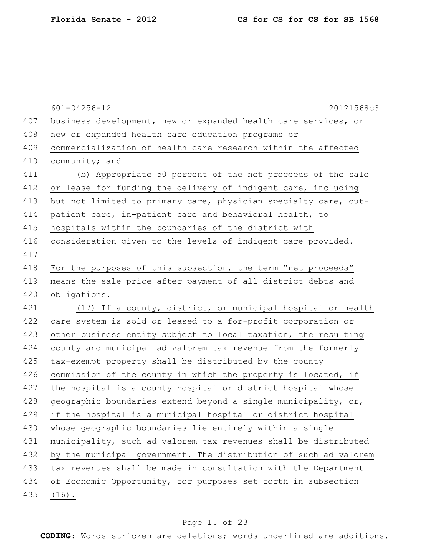|     | $601 - 04256 - 12$<br>20121568c3                                 |
|-----|------------------------------------------------------------------|
| 407 | business development, new or expanded health care services, or   |
| 408 | new or expanded health care education programs or                |
| 409 | commercialization of health care research within the affected    |
| 410 | community; and                                                   |
| 411 | (b) Appropriate 50 percent of the net proceeds of the sale       |
| 412 | or lease for funding the delivery of indigent care, including    |
| 413 | but not limited to primary care, physician specialty care, out-  |
| 414 | patient care, in-patient care and behavioral health, to          |
| 415 | hospitals within the boundaries of the district with             |
| 416 | consideration given to the levels of indigent care provided.     |
| 417 |                                                                  |
| 418 | For the purposes of this subsection, the term "net proceeds"     |
| 419 | means the sale price after payment of all district debts and     |
| 420 | obligations.                                                     |
| 421 | (17) If a county, district, or municipal hospital or health      |
| 422 | care system is sold or leased to a for-profit corporation or     |
| 423 | other business entity subject to local taxation, the resulting   |
| 424 | county and municipal ad valorem tax revenue from the formerly    |
| 425 | tax-exempt property shall be distributed by the county           |
| 426 | commission of the county in which the property is located, if    |
| 427 | the hospital is a county hospital or district hospital whose     |
| 428 | geographic boundaries extend beyond a single municipality, or,   |
| 429 | if the hospital is a municipal hospital or district hospital     |
| 430 | whose geographic boundaries lie entirely within a single         |
| 431 | municipality, such ad valorem tax revenues shall be distributed  |
| 432 | by the municipal government. The distribution of such ad valorem |
| 433 | tax revenues shall be made in consultation with the Department   |
| 434 | of Economic Opportunity, for purposes set forth in subsection    |
| 435 | $(16)$ .                                                         |
|     |                                                                  |

# Page 15 of 23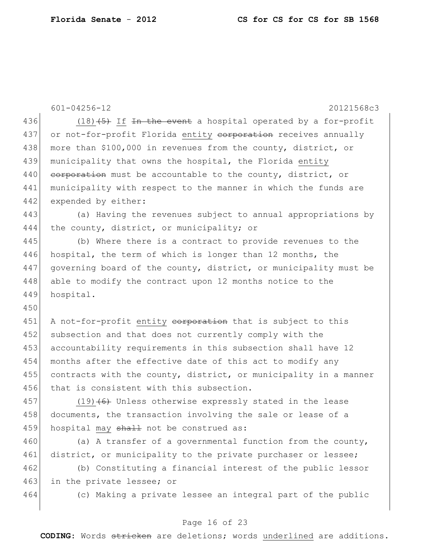601-04256-12 20121568c3 436 (18)<del>(5)</del> If <del>In the event</del> a hospital operated by a for-profit 437 or not-for-profit Florida entity corporation receives annually 438 more than \$100,000 in revenues from the county, district, or 439 municipality that owns the hospital, the Florida entity 440 corporation must be accountable to the county, district, or 441 municipality with respect to the manner in which the funds are 442 expended by either: 443 (a) Having the revenues subject to annual appropriations by 444 the county, district, or municipality; or 445 (b) Where there is a contract to provide revenues to the 446 hospital, the term of which is longer than 12 months, the 447 governing board of the county, district, or municipality must be 448 able to modify the contract upon 12 months notice to the 449 hospital. 450 451 A not-for-profit entity corporation that is subject to this 452 subsection and that does not currently comply with the 453 accountability requirements in this subsection shall have 12 454 months after the effective date of this act to modify any 455 contracts with the county, district, or municipality in a manner 456 that is consistent with this subsection. 457 (19) $(6)$  Unless otherwise expressly stated in the lease 458 documents, the transaction involving the sale or lease of a 459 hospital may shall not be construed as: 460 (a) A transfer of a governmental function from the county, 461 district, or municipality to the private purchaser or lessee; 462 (b) Constituting a financial interest of the public lessor 463 in the private lessee; or 464 (c) Making a private lessee an integral part of the public

#### Page 16 of 23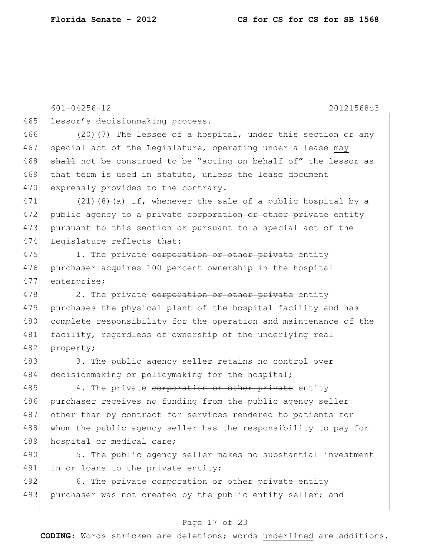601-04256-12 20121568c3 465 lessor's decisionmaking process. 466  $(20)$   $(7)$  The lessee of a hospital, under this section or any 467 special act of the Legislature, operating under a lease may 468 shall not be construed to be "acting on behalf of" the lessor as 469 that term is used in statute, unless the lease document 470 expressly provides to the contrary. 471 (21) $(8)$  (a) If, whenever the sale of a public hospital by a 472 public agency to a private corporation or other private entity 473 pursuant to this section or pursuant to a special act of the 474 Legislature reflects that: 475 1. The private corporation or other private entity 476 purchaser acquires 100 percent ownership in the hospital 477 enterprise; 478 2. The private corporation or other private entity 479 purchases the physical plant of the hospital facility and has 480 complete responsibility for the operation and maintenance of the 481 facility, regardless of ownership of the underlying real 482 property; 483 3. The public agency seller retains no control over 484 decisionmaking or policymaking for the hospital; 485 4. The private corporation or other private entity 486 purchaser receives no funding from the public agency seller 487 other than by contract for services rendered to patients for 488 whom the public agency seller has the responsibility to pay for 489 hospital or medical care; 490 5. The public agency seller makes no substantial investment 491 in or loans to the private entity; 492 6. The private corporation or other private entity 493 purchaser was not created by the public entity seller; and

#### Page 17 of 23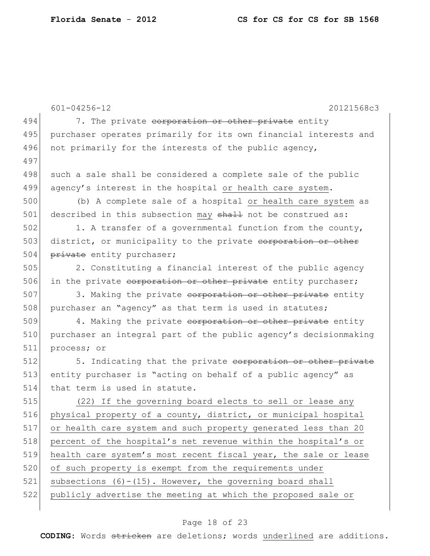|     | $601 - 04256 - 12$<br>20121568c3                                 |
|-----|------------------------------------------------------------------|
| 494 | 7. The private corporation or other private entity               |
| 495 | purchaser operates primarily for its own financial interests and |
| 496 | not primarily for the interests of the public agency,            |
| 497 |                                                                  |
| 498 | such a sale shall be considered a complete sale of the public    |
| 499 | agency's interest in the hospital or health care system.         |
| 500 | (b) A complete sale of a hospital or health care system as       |
| 501 | described in this subsection may shall not be construed as:      |
| 502 | 1. A transfer of a governmental function from the county,        |
| 503 | district, or municipality to the private corporation or other    |
| 504 | private entity purchaser;                                        |
| 505 | 2. Constituting a financial interest of the public agency        |
| 506 | in the private corporation or other private entity purchaser;    |
| 507 | 3. Making the private corporation or other private entity        |
| 508 | purchaser an "agency" as that term is used in statutes;          |
| 509 | 4. Making the private corporation or other private entity        |
| 510 | purchaser an integral part of the public agency's decisionmaking |
| 511 | process; or                                                      |
| 512 | 5. Indicating that the private corporation or other private      |
| 513 | entity purchaser is "acting on behalf of a public agency" as     |
| 514 | that term is used in statute.                                    |
| 515 | (22) If the governing board elects to sell or lease any          |
| 516 | physical property of a county, district, or municipal hospital   |
| 517 | or health care system and such property generated less than 20   |
| 518 | percent of the hospital's net revenue within the hospital's or   |
| 519 | health care system's most recent fiscal year, the sale or lease  |
| 520 | of such property is exempt from the requirements under           |
| 521 | subsections $(6) - (15)$ . However, the governing board shall    |
| 522 | publicly advertise the meeting at which the proposed sale or     |
|     |                                                                  |

# Page 18 of 23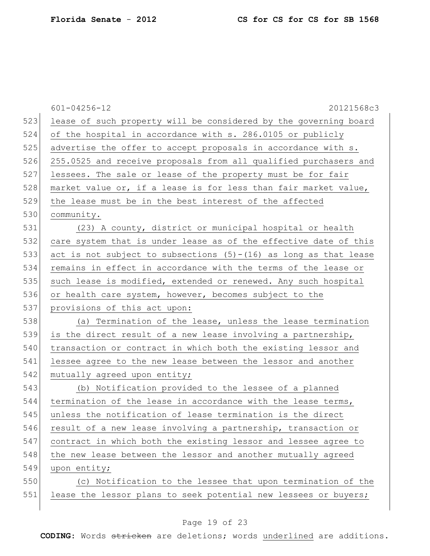|     | $601 - 04256 - 12$<br>20121568c3                                   |  |  |
|-----|--------------------------------------------------------------------|--|--|
| 523 | lease of such property will be considered by the governing board   |  |  |
| 524 | of the hospital in accordance with s. 286.0105 or publicly         |  |  |
| 525 | advertise the offer to accept proposals in accordance with s.      |  |  |
| 526 | 255.0525 and receive proposals from all qualified purchasers and   |  |  |
| 527 | lessees. The sale or lease of the property must be for fair        |  |  |
| 528 | market value or, if a lease is for less than fair market value,    |  |  |
| 529 | the lease must be in the best interest of the affected             |  |  |
| 530 | community.                                                         |  |  |
| 531 | (23) A county, district or municipal hospital or health            |  |  |
| 532 | care system that is under lease as of the effective date of this   |  |  |
| 533 | act is not subject to subsections $(5)-(16)$ as long as that lease |  |  |
| 534 | remains in effect in accordance with the terms of the lease or     |  |  |
| 535 | such lease is modified, extended or renewed. Any such hospital     |  |  |
| 536 | or health care system, however, becomes subject to the             |  |  |
| 537 | provisions of this act upon:                                       |  |  |
| 538 | (a) Termination of the lease, unless the lease termination         |  |  |
| 539 | is the direct result of a new lease involving a partnership,       |  |  |
| 540 | transaction or contract in which both the existing lessor and      |  |  |
| 541 | lessee agree to the new lease between the lessor and another       |  |  |
| 542 | mutually agreed upon entity;                                       |  |  |
| 543 | (b) Notification provided to the lessee of a planned               |  |  |
| 544 | termination of the lease in accordance with the lease terms,       |  |  |
| 545 | unless the notification of lease termination is the direct         |  |  |
| 546 | result of a new lease involving a partnership, transaction or      |  |  |
| 547 | contract in which both the existing lessor and lessee agree to     |  |  |
| 548 | the new lease between the lessor and another mutually agreed       |  |  |
| 549 | upon entity;                                                       |  |  |
| 550 | (c) Notification to the lessee that upon termination of the        |  |  |
| 551 | lease the lessor plans to seek potential new lessees or buyers;    |  |  |
|     |                                                                    |  |  |

# Page 19 of 23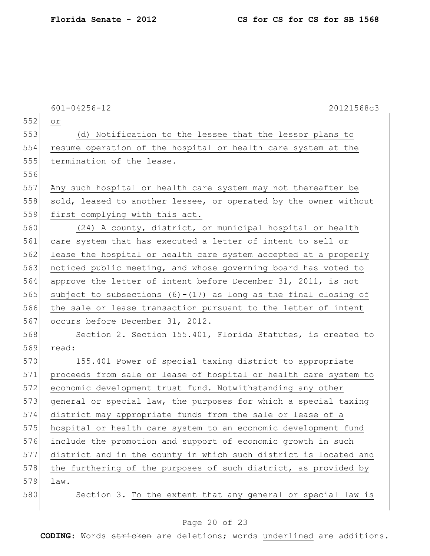|     | $601 - 04256 - 12$<br>20121568c3                                    |  |  |
|-----|---------------------------------------------------------------------|--|--|
| 552 | Оr                                                                  |  |  |
| 553 | (d) Notification to the lessee that the lessor plans to             |  |  |
| 554 | resume operation of the hospital or health care system at the       |  |  |
| 555 | termination of the lease.                                           |  |  |
| 556 |                                                                     |  |  |
| 557 | Any such hospital or health care system may not thereafter be       |  |  |
| 558 | sold, leased to another lessee, or operated by the owner without    |  |  |
| 559 | first complying with this act.                                      |  |  |
| 560 | (24) A county, district, or municipal hospital or health            |  |  |
| 561 | care system that has executed a letter of intent to sell or         |  |  |
| 562 | lease the hospital or health care system accepted at a properly     |  |  |
| 563 | noticed public meeting, and whose governing board has voted to      |  |  |
| 564 | approve the letter of intent before December 31, 2011, is not       |  |  |
| 565 | subject to subsections $(6) - (17)$ as long as the final closing of |  |  |
| 566 | the sale or lease transaction pursuant to the letter of intent      |  |  |
| 567 | occurs before December 31, 2012.                                    |  |  |
| 568 | Section 2. Section 155.401, Florida Statutes, is created to         |  |  |
| 569 | read:                                                               |  |  |
| 570 | 155.401 Power of special taxing district to appropriate             |  |  |
| 571 | proceeds from sale or lease of hospital or health care system to    |  |  |
| 572 | economic development trust fund. Notwithstanding any other          |  |  |
| 573 | general or special law, the purposes for which a special taxing     |  |  |
| 574 | district may appropriate funds from the sale or lease of a          |  |  |
| 575 | hospital or health care system to an economic development fund      |  |  |
| 576 | include the promotion and support of economic growth in such        |  |  |
| 577 | district and in the county in which such district is located and    |  |  |
| 578 | the furthering of the purposes of such district, as provided by     |  |  |
| 579 | law.                                                                |  |  |
| 580 | Section 3. To the extent that any general or special law is         |  |  |

# Page 20 of 23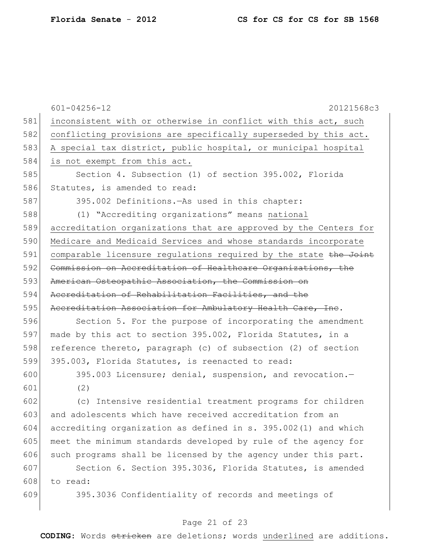|     | $601 - 04256 - 12$<br>20121568c3                                 |  |  |
|-----|------------------------------------------------------------------|--|--|
| 581 | inconsistent with or otherwise in conflict with this act, such   |  |  |
| 582 | conflicting provisions are specifically superseded by this act.  |  |  |
| 583 | A special tax district, public hospital, or municipal hospital   |  |  |
| 584 | is not exempt from this act.                                     |  |  |
| 585 | Section 4. Subsection (1) of section 395.002, Florida            |  |  |
| 586 | Statutes, is amended to read:                                    |  |  |
| 587 | 395.002 Definitions. - As used in this chapter:                  |  |  |
| 588 | (1) "Accrediting organizations" means national                   |  |  |
| 589 | accreditation organizations that are approved by the Centers for |  |  |
| 590 | Medicare and Medicaid Services and whose standards incorporate   |  |  |
| 591 | comparable licensure regulations required by the state the Joint |  |  |
| 592 | Commission on Accreditation of Healthcare Organizations, the     |  |  |
| 593 | American Osteopathic Association, the Commission on              |  |  |
| 594 | Accreditation of Rehabilitation Facilities, and the              |  |  |
| 595 | Accreditation Association for Ambulatory Health Care, Inc.       |  |  |
| 596 | Section 5. For the purpose of incorporating the amendment        |  |  |
| 597 | made by this act to section 395.002, Florida Statutes, in a      |  |  |
| 598 | reference thereto, paragraph (c) of subsection (2) of section    |  |  |
| 599 | 395.003, Florida Statutes, is reenacted to read:                 |  |  |
| 600 | 395.003 Licensure; denial, suspension, and revocation.-          |  |  |
| 601 | (2)                                                              |  |  |
| 602 | (c) Intensive residential treatment programs for children        |  |  |
| 603 | and adolescents which have received accreditation from an        |  |  |
| 604 | accrediting organization as defined in s. 395.002(1) and which   |  |  |
| 605 | meet the minimum standards developed by rule of the agency for   |  |  |
| 606 | such programs shall be licensed by the agency under this part.   |  |  |
| 607 | Section 6. Section 395.3036, Florida Statutes, is amended        |  |  |
| 608 | to read:                                                         |  |  |
| 609 | 395.3036 Confidentiality of records and meetings of              |  |  |
|     |                                                                  |  |  |

# Page 21 of 23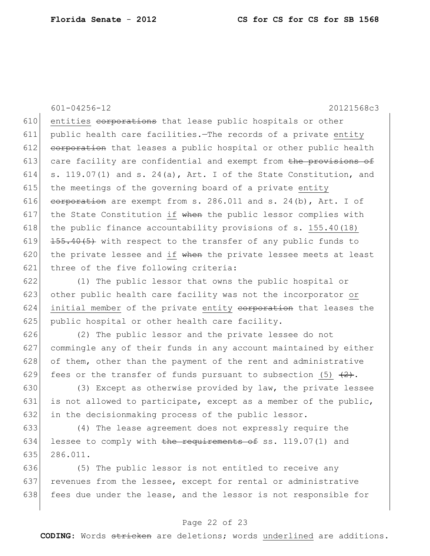601-04256-12 20121568c3 610 entities corporations that lease public hospitals or other 611 public health care facilities.—The records of a private entity 612 corporation that leases a public hospital or other public health  $613$  care facility are confidential and exempt from the provisions of 614 s. 119.07(1) and s. 24(a), Art. I of the State Constitution, and 615 the meetings of the governing board of a private entity 616 corporation are exempt from s. 286.011 and s. 24(b), Art. I of 617 the State Constitution if when the public lessor complies with 618 the public finance accountability provisions of s. 155.40(18) 619  $155.40(5)$  with respect to the transfer of any public funds to 620 the private lessee and if when the private lessee meets at least 621 three of the five following criteria:

622 (1) The public lessor that owns the public hospital or 623 other public health care facility was not the incorporator or 624 initial member of the private entity corporation that leases the 625 | public hospital or other health care facility.

 (2) The public lessor and the private lessee do not commingle any of their funds in any account maintained by either of them, other than the payment of the rent and administrative 629 fees or the transfer of funds pursuant to subsection (5)  $\left(2\right)$ .

630 (3) Except as otherwise provided by law, the private lessee 631 is not allowed to participate, except as a member of the public, 632 in the decisionmaking process of the public lessor.

633 (4) The lease agreement does not expressly require the 634 lessee to comply with the requirements of ss. 119.07(1) and 635 286.011.

636 (5) The public lessor is not entitled to receive any 637 revenues from the lessee, except for rental or administrative 638 fees due under the lease, and the lessor is not responsible for

#### Page 22 of 23